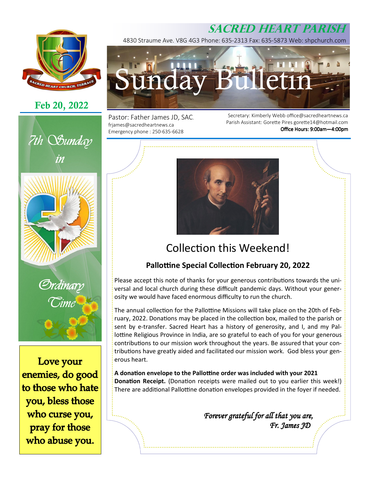# **SACRED HEART PARISH**



# **Feb 20, 2022**





*Ordinary Time* 

Love your enemies, do good to those who hate you, bless those who curse you, pray for those who abuse you.

4830 Straume Ave. V8G 4G3 Phone: 635-2313 Fax: 635-5873 Web: shpchurch.com



Pastor: Father James JD, SAC. frjames@sacredheartnews.ca Emergency phone : 250-635-6628

Secretary: Kimberly Webb office@sacredheartnews.ca Parish Assistant: Gorette Pires gorette14@hotmail.com Office Hours: 9:00am-4:00pm



# Collection this Weekend!

## **Pallottine Special Collection February 20, 2022**

Please accept this note of thanks for your generous contributions towards the universal and local church during these difficult pandemic days. Without your generosity we would have faced enormous difficulty to run the church.

The annual collection for the Pallottine Missions will take place on the 20th of February, 2022. Donations may be placed in the collection box, mailed to the parish or sent by e-transfer. Sacred Heart has a history of generosity, and I, and my Pallottine Religious Province in India, are so grateful to each of you for your generous contributions to our mission work throughout the years. Be assured that your contributions have greatly aided and facilitated our mission work. God bless your generous heart.

A donation envelope to the Pallottine order was included with your 2021 **Donation Receipt.** (Donation receipts were mailed out to you earlier this week!) There are additional Pallottine donation envelopes provided in the foyer if needed.

> Forever grateful for all that you are,  *Fr. James JD Fr. James JDJD*